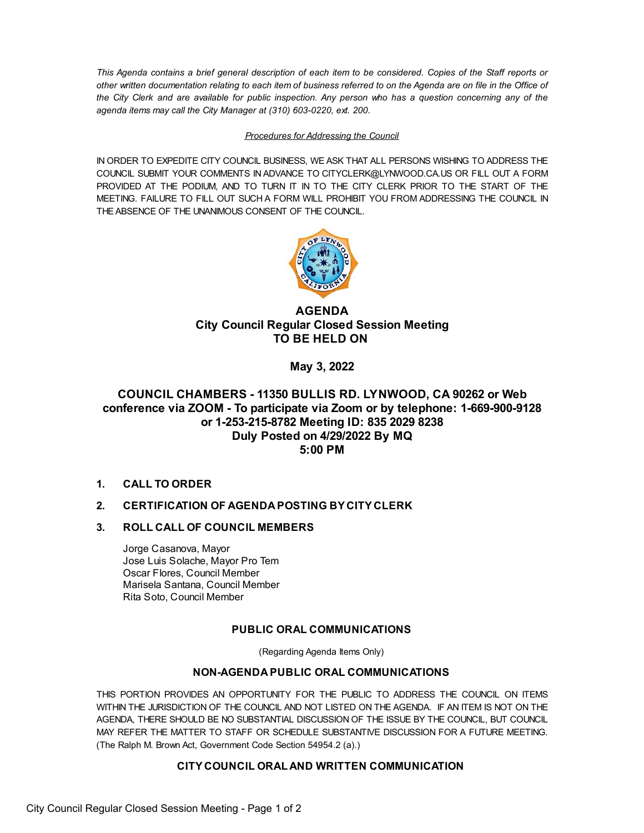This Agenda contains a brief general description of each item to be considered. Copies of the Staff reports or other written documentation relating to each item of business referred to on the Agenda are on file in the Office of the City Clerk and are available for public inspection. Any person who has a question concerning any of the *agenda items may call the City Manager at (310) 603-0220, ext. 200.*

#### *Procedures for Addressing the Council*

IN ORDER TO EXPEDITE CITY COUNCIL BUSINESS, WE ASK THAT ALL PERSONS WISHING TO ADDRESS THE COUNCIL SUBMIT YOUR COMMENTS IN ADVANCE TO [CITYCLERK@LYNWOOD.CA.US](mailto:CITYCLERK@LYNWOOD.CA.US) OR FILL OUT A FORM PROVIDED AT THE PODIUM, AND TO TURN IT IN TO THE CITY CLERK PRIOR TO THE START OF THE MEETING. FAILURE TO FILL OUT SUCH A FORM WILL PROHIBIT YOU FROM ADDRESSING THE COUNCIL IN THE ABSENCE OF THE UNANIMOUS CONSENT OF THE COUNCIL.



# **AGENDA City Council Regular Closed Session Meeting TO BE HELD ON**

**May 3, 2022**

# **COUNCIL CHAMBERS - 11350 BULLIS RD. LYNWOOD, CA 90262 or Web conference via ZOOM - To participate via Zoom or by telephone: 1-669-900-9128 or 1-253-215-8782 Meeting ID: 835 2029 8238 Duly Posted on 4/29/2022 By MQ 5:00 PM**

**1. CALL TO ORDER**

# **2. CERTIFICATION OF AGENDAPOSTING BYCITYCLERK**

## **3. ROLL CALL OF COUNCIL MEMBERS**

Jorge Casanova, Mayor Jose Luis Solache, Mayor Pro Tem Oscar Flores, Council Member Marisela Santana, Council Member Rita Soto, Council Member

## **PUBLIC ORAL COMMUNICATIONS**

(Regarding Agenda Items Only)

### **NON-AGENDAPUBLIC ORAL COMMUNICATIONS**

THIS PORTION PROVIDES AN OPPORTUNITY FOR THE PUBLIC TO ADDRESS THE COUNCIL ON ITEMS WITHIN THE JURISDICTION OF THE COUNCIL AND NOT LISTED ON THE AGENDA. IF AN ITEM IS NOT ON THE AGENDA, THERE SHOULD BE NO SUBSTANTIAL DISCUSSION OF THE ISSUE BY THE COUNCIL, BUT COUNCIL MAY REFER THE MATTER TO STAFF OR SCHEDULE SUBSTANTIVE DISCUSSION FOR A FUTURE MEETING. (The Ralph M. Brown Act, Government Code Section 54954.2 (a).)

## **CITYCOUNCIL ORALAND WRITTEN COMMUNICATION**